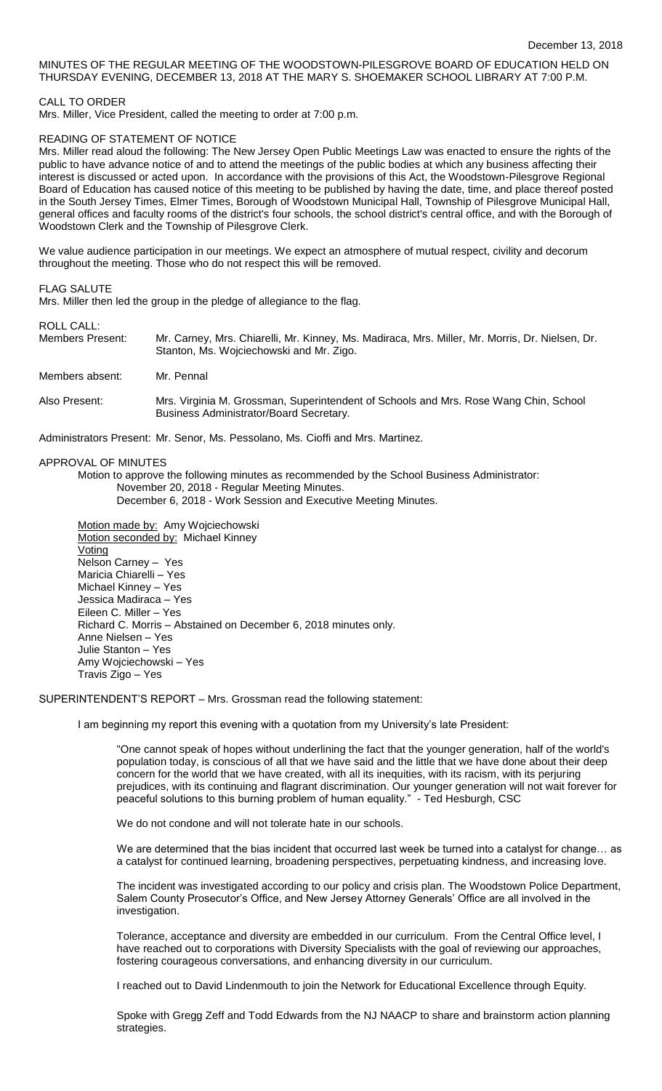# MINUTES OF THE REGULAR MEETING OF THE WOODSTOWN-PILESGROVE BOARD OF EDUCATION HELD ON THURSDAY EVENING, DECEMBER 13, 2018 AT THE MARY S. SHOEMAKER SCHOOL LIBRARY AT 7:00 P.M.

CALL TO ORDER

Mrs. Miller, Vice President, called the meeting to order at 7:00 p.m.

## READING OF STATEMENT OF NOTICE

Mrs. Miller read aloud the following: The New Jersey Open Public Meetings Law was enacted to ensure the rights of the public to have advance notice of and to attend the meetings of the public bodies at which any business affecting their interest is discussed or acted upon. In accordance with the provisions of this Act, the Woodstown-Pilesgrove Regional Board of Education has caused notice of this meeting to be published by having the date, time, and place thereof posted in the South Jersey Times, Elmer Times, Borough of Woodstown Municipal Hall, Township of Pilesgrove Municipal Hall, general offices and faculty rooms of the district's four schools, the school district's central office, and with the Borough of Woodstown Clerk and the Township of Pilesgrove Clerk.

We value audience participation in our meetings. We expect an atmosphere of mutual respect, civility and decorum throughout the meeting. Those who do not respect this will be removed.

### FLAG SALUTE

Mrs. Miller then led the group in the pledge of allegiance to the flag.

#### ROLL CALL:

Members Present: Mr. Carney, Mrs. Chiarelli, Mr. Kinney, Ms. Madiraca, Mrs. Miller, Mr. Morris, Dr. Nielsen, Dr. Stanton, Ms. Wojciechowski and Mr. Zigo.

Members absent: Mr. Pennal

Also Present: Mrs. Virginia M. Grossman, Superintendent of Schools and Mrs. Rose Wang Chin, School Business Administrator/Board Secretary.

Administrators Present: Mr. Senor, Ms. Pessolano, Ms. Cioffi and Mrs. Martinez.

## APPROVAL OF MINUTES

Motion to approve the following minutes as recommended by the School Business Administrator: November 20, 2018 - Regular Meeting Minutes.

December 6, 2018 - Work Session and Executive Meeting Minutes.

Motion made by: Amy Wojciechowski Motion seconded by: Michael Kinney Voting Nelson Carney – Yes Maricia Chiarelli – Yes Michael Kinney – Yes Jessica Madiraca – Yes Eileen C. Miller – Yes Richard C. Morris – Abstained on December 6, 2018 minutes only. Anne Nielsen – Yes Julie Stanton – Yes Amy Wojciechowski – Yes Travis Zigo – Yes

SUPERINTENDENT'S REPORT – Mrs. Grossman read the following statement:

I am beginning my report this evening with a quotation from my University's late President:

"One cannot speak of hopes without underlining the fact that the younger generation, half of the world's population today, is conscious of all that we have said and the little that we have done about their deep concern for the world that we have created, with all its inequities, with its racism, with its perjuring prejudices, with its continuing and flagrant discrimination. Our younger generation will not wait forever for peaceful solutions to this burning problem of human equality." - Ted Hesburgh, CSC

We do not condone and will not tolerate hate in our schools.

We are determined that the bias incident that occurred last week be turned into a catalyst for change… as a catalyst for continued learning, broadening perspectives, perpetuating kindness, and increasing love.

The incident was investigated according to our policy and crisis plan. The Woodstown Police Department, Salem County Prosecutor's Office, and New Jersey Attorney Generals' Office are all involved in the investigation.

Tolerance, acceptance and diversity are embedded in our curriculum. From the Central Office level, I have reached out to corporations with Diversity Specialists with the goal of reviewing our approaches, fostering courageous conversations, and enhancing diversity in our curriculum.

I reached out to David Lindenmouth to join the Network for Educational Excellence through Equity.

Spoke with Gregg Zeff and Todd Edwards from the NJ NAACP to share and brainstorm action planning strategies.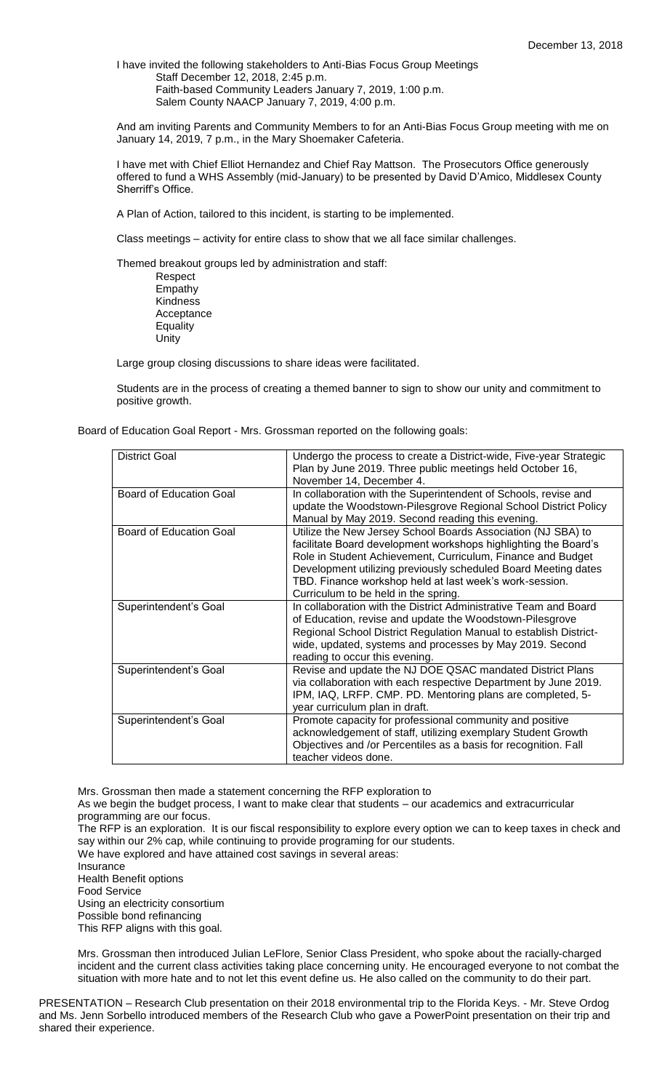I have invited the following stakeholders to Anti-Bias Focus Group Meetings Staff December 12, 2018, 2:45 p.m. Faith-based Community Leaders January 7, 2019, 1:00 p.m. Salem County NAACP January 7, 2019, 4:00 p.m.

And am inviting Parents and Community Members to for an Anti-Bias Focus Group meeting with me on January 14, 2019, 7 p.m., in the Mary Shoemaker Cafeteria.

I have met with Chief Elliot Hernandez and Chief Ray Mattson. The Prosecutors Office generously offered to fund a WHS Assembly (mid-January) to be presented by David D'Amico, Middlesex County Sherriff's Office.

A Plan of Action, tailored to this incident, is starting to be implemented.

Class meetings – activity for entire class to show that we all face similar challenges.

Themed breakout groups led by administration and staff: Respect Empathy

Kindness Acceptance **Equality** Unity

Large group closing discussions to share ideas were facilitated.

Students are in the process of creating a themed banner to sign to show our unity and commitment to positive growth.

Board of Education Goal Report - Mrs. Grossman reported on the following goals:

| District Goal           | Undergo the process to create a District-wide, Five-year Strategic |
|-------------------------|--------------------------------------------------------------------|
|                         | Plan by June 2019. Three public meetings held October 16,          |
|                         | November 14, December 4.                                           |
| Board of Education Goal | In collaboration with the Superintendent of Schools, revise and    |
|                         | update the Woodstown-Pilesgrove Regional School District Policy    |
|                         | Manual by May 2019. Second reading this evening.                   |
| Board of Education Goal | Utilize the New Jersey School Boards Association (NJ SBA) to       |
|                         | facilitate Board development workshops highlighting the Board's    |
|                         | Role in Student Achievement, Curriculum, Finance and Budget        |
|                         | Development utilizing previously scheduled Board Meeting dates     |
|                         | TBD. Finance workshop held at last week's work-session.            |
|                         | Curriculum to be held in the spring.                               |
| Superintendent's Goal   | In collaboration with the District Administrative Team and Board   |
|                         | of Education, revise and update the Woodstown-Pilesgrove           |
|                         | Regional School District Regulation Manual to establish District-  |
|                         | wide, updated, systems and processes by May 2019. Second           |
|                         | reading to occur this evening.                                     |
| Superintendent's Goal   | Revise and update the NJ DOE QSAC mandated District Plans          |
|                         | via collaboration with each respective Department by June 2019.    |
|                         | IPM, IAQ, LRFP. CMP. PD. Mentoring plans are completed, 5-         |
|                         | year curriculum plan in draft.                                     |
| Superintendent's Goal   | Promote capacity for professional community and positive           |
|                         | acknowledgement of staff, utilizing exemplary Student Growth       |
|                         | Objectives and /or Percentiles as a basis for recognition. Fall    |
|                         | teacher videos done.                                               |
|                         |                                                                    |

Mrs. Grossman then made a statement concerning the RFP exploration to

As we begin the budget process, I want to make clear that students – our academics and extracurricular programming are our focus.

The RFP is an exploration. It is our fiscal responsibility to explore every option we can to keep taxes in check and say within our 2% cap, while continuing to provide programing for our students.

We have explored and have attained cost savings in several areas:

Insurance Health Benefit options Food Service Using an electricity consortium Possible bond refinancing This RFP aligns with this goal.

Mrs. Grossman then introduced Julian LeFlore, Senior Class President, who spoke about the racially-charged incident and the current class activities taking place concerning unity. He encouraged everyone to not combat the situation with more hate and to not let this event define us. He also called on the community to do their part.

PRESENTATION – Research Club presentation on their 2018 environmental trip to the Florida Keys. - Mr. Steve Ordog and Ms. Jenn Sorbello introduced members of the Research Club who gave a PowerPoint presentation on their trip and shared their experience.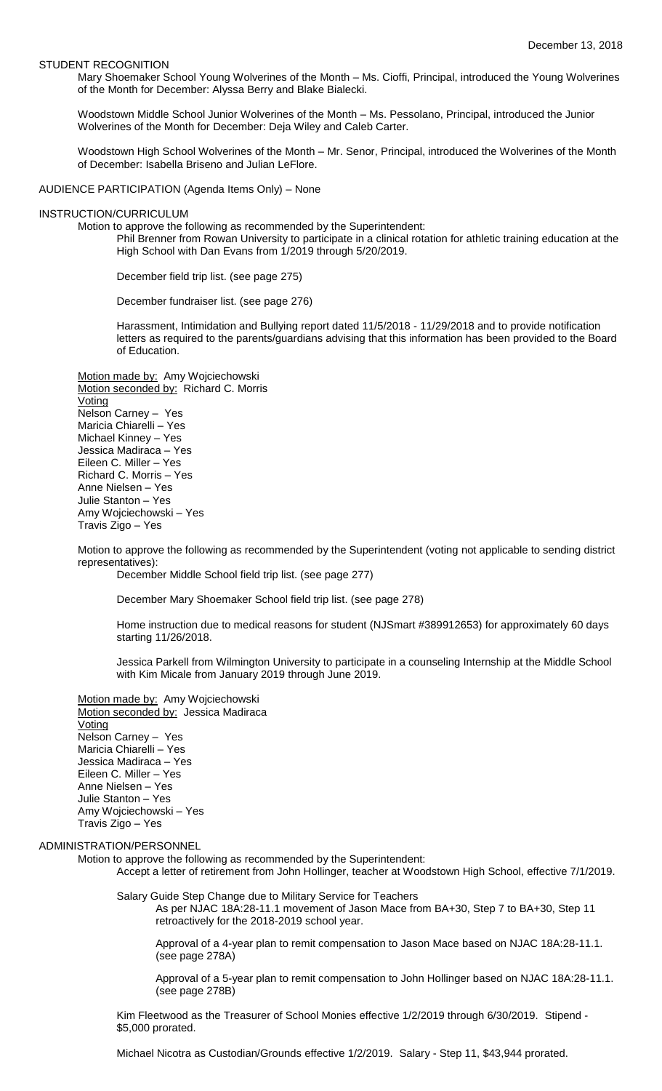#### STUDENT RECOGNITION

Mary Shoemaker School Young Wolverines of the Month – Ms. Cioffi, Principal, introduced the Young Wolverines of the Month for December: Alyssa Berry and Blake Bialecki.

Woodstown Middle School Junior Wolverines of the Month – Ms. Pessolano, Principal, introduced the Junior Wolverines of the Month for December: Deja Wiley and Caleb Carter.

Woodstown High School Wolverines of the Month – Mr. Senor, Principal, introduced the Wolverines of the Month of December: Isabella Briseno and Julian LeFlore.

AUDIENCE PARTICIPATION (Agenda Items Only) – None

### INSTRUCTION/CURRICULUM

Motion to approve the following as recommended by the Superintendent:

Phil Brenner from Rowan University to participate in a clinical rotation for athletic training education at the High School with Dan Evans from 1/2019 through 5/20/2019.

December field trip list. (see page 275)

December fundraiser list. (see page 276)

Harassment, Intimidation and Bullying report dated 11/5/2018 - 11/29/2018 and to provide notification letters as required to the parents/guardians advising that this information has been provided to the Board of Education.

Motion made by: Amy Wojciechowski Motion seconded by: Richard C. Morris **Voting** Nelson Carney – Yes Maricia Chiarelli – Yes Michael Kinney – Yes Jessica Madiraca – Yes Eileen C. Miller – Yes Richard C. Morris – Yes Anne Nielsen – Yes Julie Stanton – Yes Amy Wojciechowski – Yes Travis Zigo – Yes

Motion to approve the following as recommended by the Superintendent (voting not applicable to sending district representatives):

December Middle School field trip list. (see page 277)

December Mary Shoemaker School field trip list. (see page 278)

Home instruction due to medical reasons for student (NJSmart #389912653) for approximately 60 days starting 11/26/2018.

Jessica Parkell from Wilmington University to participate in a counseling Internship at the Middle School with Kim Micale from January 2019 through June 2019.

Motion made by: Amy Wojciechowski Motion seconded by: Jessica Madiraca Voting Nelson Carney – Yes Maricia Chiarelli – Yes Jessica Madiraca – Yes Eileen C. Miller – Yes Anne Nielsen – Yes Julie Stanton – Yes Amy Wojciechowski – Yes Travis Zigo – Yes

### ADMINISTRATION/PERSONNEL

Motion to approve the following as recommended by the Superintendent:

Accept a letter of retirement from John Hollinger, teacher at Woodstown High School, effective 7/1/2019.

Salary Guide Step Change due to Military Service for Teachers As per NJAC 18A:28-11.1 movement of Jason Mace from BA+30, Step 7 to BA+30, Step 11 retroactively for the 2018-2019 school year.

Approval of a 4-year plan to remit compensation to Jason Mace based on NJAC 18A:28-11.1. (see page 278A)

Approval of a 5-year plan to remit compensation to John Hollinger based on NJAC 18A:28-11.1. (see page 278B)

Kim Fleetwood as the Treasurer of School Monies effective 1/2/2019 through 6/30/2019. Stipend - \$5,000 prorated.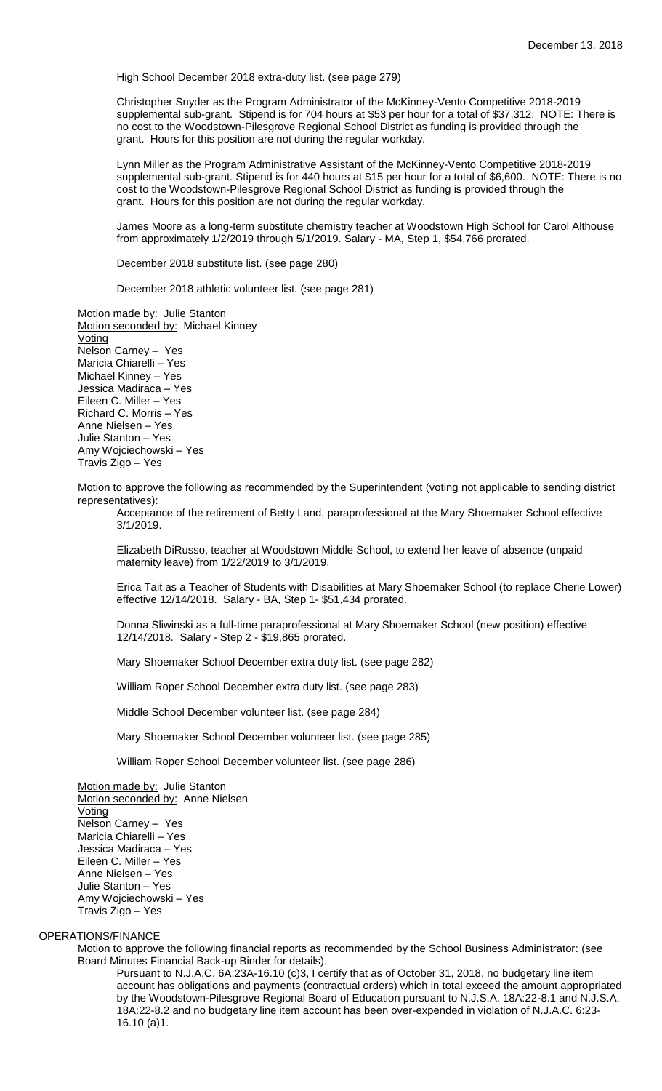High School December 2018 extra-duty list. (see page 279)

Christopher Snyder as the Program Administrator of the McKinney-Vento Competitive 2018-2019 supplemental sub-grant. Stipend is for 704 hours at \$53 per hour for a total of \$37,312. NOTE: There is no cost to the Woodstown-Pilesgrove Regional School District as funding is provided through the grant. Hours for this position are not during the regular workday.

Lynn Miller as the Program Administrative Assistant of the McKinney-Vento Competitive 2018-2019 supplemental sub-grant. Stipend is for 440 hours at \$15 per hour for a total of \$6,600. NOTE: There is no cost to the Woodstown-Pilesgrove Regional School District as funding is provided through the grant. Hours for this position are not during the regular workday.

James Moore as a long-term substitute chemistry teacher at Woodstown High School for Carol Althouse from approximately 1/2/2019 through 5/1/2019. Salary - MA, Step 1, \$54,766 prorated.

December 2018 substitute list. (see page 280)

December 2018 athletic volunteer list. (see page 281)

Motion made by: Julie Stanton Motion seconded by: Michael Kinney Voting Nelson Carney – Yes Maricia Chiarelli – Yes Michael Kinney – Yes Jessica Madiraca – Yes Eileen C. Miller – Yes Richard C. Morris – Yes Anne Nielsen – Yes Julie Stanton – Yes Amy Wojciechowski – Yes Travis Zigo – Yes

Motion to approve the following as recommended by the Superintendent (voting not applicable to sending district representatives):

Acceptance of the retirement of Betty Land, paraprofessional at the Mary Shoemaker School effective 3/1/2019.

Elizabeth DiRusso, teacher at Woodstown Middle School, to extend her leave of absence (unpaid maternity leave) from 1/22/2019 to 3/1/2019.

Erica Tait as a Teacher of Students with Disabilities at Mary Shoemaker School (to replace Cherie Lower) effective 12/14/2018. Salary - BA, Step 1- \$51,434 prorated.

Donna Sliwinski as a full-time paraprofessional at Mary Shoemaker School (new position) effective 12/14/2018. Salary - Step 2 - \$19,865 prorated.

Mary Shoemaker School December extra duty list. (see page 282)

William Roper School December extra duty list. (see page 283)

Middle School December volunteer list. (see page 284)

Mary Shoemaker School December volunteer list. (see page 285)

William Roper School December volunteer list. (see page 286)

Motion made by: Julie Stanton Motion seconded by: Anne Nielsen **Voting** Nelson Carney – Yes Maricia Chiarelli – Yes Jessica Madiraca – Yes Eileen C. Miller – Yes Anne Nielsen – Yes Julie Stanton – Yes Amy Wojciechowski – Yes Travis Zigo – Yes

## OPERATIONS/FINANCE

Motion to approve the following financial reports as recommended by the School Business Administrator: (see Board Minutes Financial Back-up Binder for details).

Pursuant to N.J.A.C. 6A:23A-16.10 (c)3, I certify that as of October 31, 2018, no budgetary line item account has obligations and payments (contractual orders) which in total exceed the amount appropriated by the Woodstown-Pilesgrove Regional Board of Education pursuant to N.J.S.A. 18A:22-8.1 and N.J.S.A. 18A:22-8.2 and no budgetary line item account has been over-expended in violation of N.J.A.C. 6:23- 16.10 (a)1.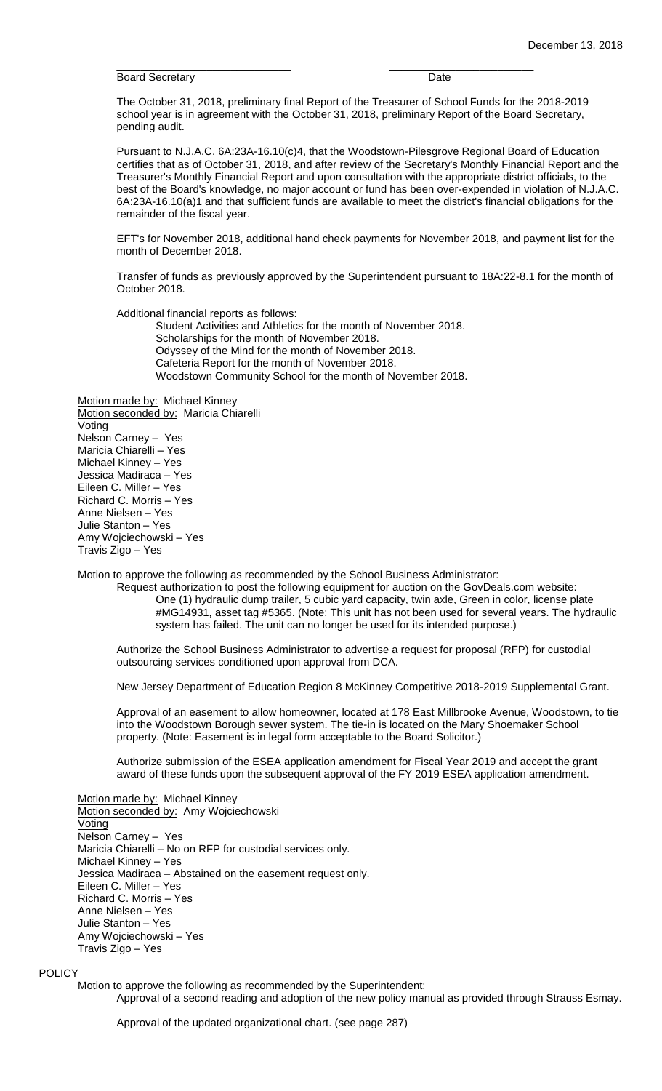Board Secretary **Date Date Date** 

The October 31, 2018, preliminary final Report of the Treasurer of School Funds for the 2018-2019 school year is in agreement with the October 31, 2018, preliminary Report of the Board Secretary, pending audit.

\_\_\_\_\_\_\_\_\_\_\_\_\_\_\_\_\_\_\_\_\_\_\_\_\_\_\_\_\_ \_\_\_\_\_\_\_\_\_\_\_\_\_\_\_\_\_\_\_\_\_\_\_\_

Pursuant to N.J.A.C. 6A:23A-16.10(c)4, that the Woodstown-Pilesgrove Regional Board of Education certifies that as of October 31, 2018, and after review of the Secretary's Monthly Financial Report and the Treasurer's Monthly Financial Report and upon consultation with the appropriate district officials, to the best of the Board's knowledge, no major account or fund has been over-expended in violation of N.J.A.C. 6A:23A-16.10(a)1 and that sufficient funds are available to meet the district's financial obligations for the remainder of the fiscal year.

EFT's for November 2018, additional hand check payments for November 2018, and payment list for the month of December 2018.

Transfer of funds as previously approved by the Superintendent pursuant to 18A:22-8.1 for the month of October 2018.

Additional financial reports as follows: Student Activities and Athletics for the month of November 2018. Scholarships for the month of November 2018. Odyssey of the Mind for the month of November 2018. Cafeteria Report for the month of November 2018. Woodstown Community School for the month of November 2018.

Motion made by: Michael Kinney Motion seconded by: Maricia Chiarelli Voting Nelson Carney – Yes Maricia Chiarelli – Yes Michael Kinney – Yes Jessica Madiraca – Yes Eileen C. Miller – Yes Richard C. Morris – Yes Anne Nielsen – Yes Julie Stanton – Yes Amy Wojciechowski – Yes Travis Zigo – Yes

Motion to approve the following as recommended by the School Business Administrator:

Request authorization to post the following equipment for auction on the GovDeals.com website: One (1) hydraulic dump trailer, 5 cubic yard capacity, twin axle, Green in color, license plate #MG14931, asset tag #5365. (Note: This unit has not been used for several years. The hydraulic system has failed. The unit can no longer be used for its intended purpose.)

Authorize the School Business Administrator to advertise a request for proposal (RFP) for custodial outsourcing services conditioned upon approval from DCA.

New Jersey Department of Education Region 8 McKinney Competitive 2018-2019 Supplemental Grant.

Approval of an easement to allow homeowner, located at 178 East Millbrooke Avenue, Woodstown, to tie into the Woodstown Borough sewer system. The tie-in is located on the Mary Shoemaker School property. (Note: Easement is in legal form acceptable to the Board Solicitor.)

Authorize submission of the ESEA application amendment for Fiscal Year 2019 and accept the grant award of these funds upon the subsequent approval of the FY 2019 ESEA application amendment.

Motion made by: Michael Kinney Motion seconded by: Amy Wojciechowski Voting Nelson Carney – Yes Maricia Chiarelli – No on RFP for custodial services only. Michael Kinney – Yes Jessica Madiraca – Abstained on the easement request only. Eileen C. Miller – Yes Richard C. Morris – Yes Anne Nielsen – Yes Julie Stanton – Yes Amy Wojciechowski – Yes Travis Zigo – Yes

### **POLICY**

Motion to approve the following as recommended by the Superintendent: Approval of a second reading and adoption of the new policy manual as provided through Strauss Esmay.

Approval of the updated organizational chart. (see page 287)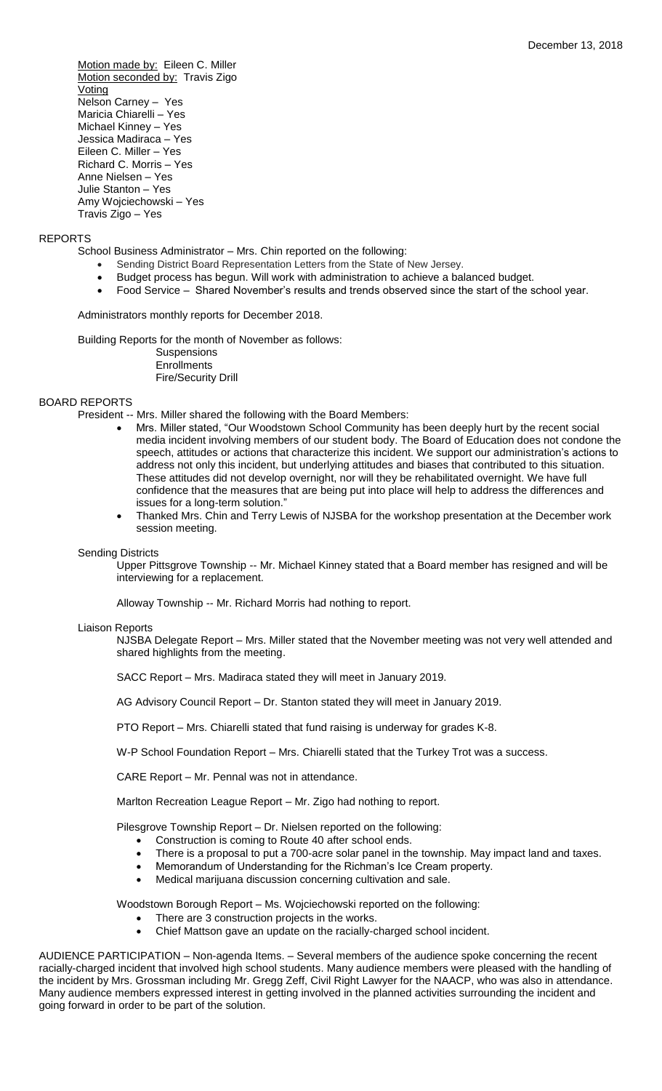Motion made by: Eileen C. Miller Motion seconded by: Travis Zigo **Voting** Nelson Carney – Yes Maricia Chiarelli – Yes Michael Kinney – Yes Jessica Madiraca – Yes Eileen C. Miller – Yes Richard C. Morris – Yes Anne Nielsen – Yes Julie Stanton – Yes Amy Wojciechowski – Yes Travis Zigo – Yes

## REPORTS

School Business Administrator – Mrs. Chin reported on the following:

- Sending District Board Representation Letters from the State of New Jersey.
- Budget process has begun. Will work with administration to achieve a balanced budget.
- Food Service Shared November's results and trends observed since the start of the school year.

Administrators monthly reports for December 2018.

Building Reports for the month of November as follows: **Suspensions** 

**Enrollments** Fire/Security Drill

# BOARD REPORTS

President -- Mrs. Miller shared the following with the Board Members:

- Mrs. Miller stated, "Our Woodstown School Community has been deeply hurt by the recent social media incident involving members of our student body. The Board of Education does not condone the speech, attitudes or actions that characterize this incident. We support our administration's actions to address not only this incident, but underlying attitudes and biases that contributed to this situation. These attitudes did not develop overnight, nor will they be rehabilitated overnight. We have full confidence that the measures that are being put into place will help to address the differences and issues for a long-term solution."
- Thanked Mrs. Chin and Terry Lewis of NJSBA for the workshop presentation at the December work session meeting.

### Sending Districts

Upper Pittsgrove Township -- Mr. Michael Kinney stated that a Board member has resigned and will be interviewing for a replacement.

Alloway Township -- Mr. Richard Morris had nothing to report.

### Liaison Reports

NJSBA Delegate Report – Mrs. Miller stated that the November meeting was not very well attended and shared highlights from the meeting.

SACC Report – Mrs. Madiraca stated they will meet in January 2019.

AG Advisory Council Report – Dr. Stanton stated they will meet in January 2019.

PTO Report – Mrs. Chiarelli stated that fund raising is underway for grades K-8.

W-P School Foundation Report – Mrs. Chiarelli stated that the Turkey Trot was a success.

CARE Report – Mr. Pennal was not in attendance.

Marlton Recreation League Report – Mr. Zigo had nothing to report.

Pilesgrove Township Report – Dr. Nielsen reported on the following:

- Construction is coming to Route 40 after school ends.
- There is a proposal to put a 700-acre solar panel in the township. May impact land and taxes.
- Memorandum of Understanding for the Richman's Ice Cream property.
- Medical marijuana discussion concerning cultivation and sale.

Woodstown Borough Report – Ms. Wojciechowski reported on the following:

- There are 3 construction projects in the works.
- Chief Mattson gave an update on the racially-charged school incident.

AUDIENCE PARTICIPATION – Non-agenda Items. – Several members of the audience spoke concerning the recent racially-charged incident that involved high school students. Many audience members were pleased with the handling of the incident by Mrs. Grossman including Mr. Gregg Zeff, Civil Right Lawyer for the NAACP, who was also in attendance. Many audience members expressed interest in getting involved in the planned activities surrounding the incident and going forward in order to be part of the solution.